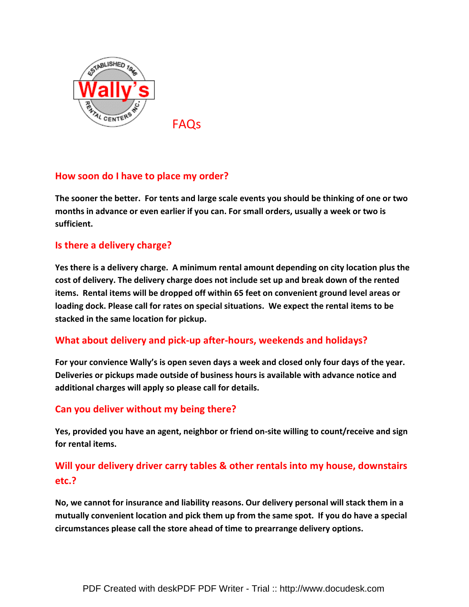

FAQs

# How soon do I have to place my order?

The sooner the better. For tents and large scale events you should be thinking of one or two months in advance or even earlier if you can. For small orders, usually a week or two is sufficient.

## Is there a delivery charge?

Yes there is a delivery charge. A minimum rental amount depending on city location plus the cost of delivery. The delivery charge does not include set up and break down of the rented items. Rental items will be dropped off within 65 feet on convenient ground level areas or loading dock. Please call for rates on special situations. We expect the rental items to be stacked in the same location for pickup.

## What about delivery and pick-up after-hours, weekends and holidays?

For your convience Wally's is open seven days a week and closed only four days of the year. Deliveries or pickups made outside of business hours is available with advance notice and additional charges will apply so please call for details.

## Can you deliver without my being there?

Yes, provided you have an agent, neighbor or friend on-site willing to count/receive and sign for rental items.

# Will your delivery driver carry tables & other rentals into my house, downstairs etc.?

No, we cannot for insurance and liability reasons. Our delivery personal will stack them in a mutually convenient location and pick them up from the same spot. If you do have a special circumstances please call the store ahead of time to prearrange delivery options.